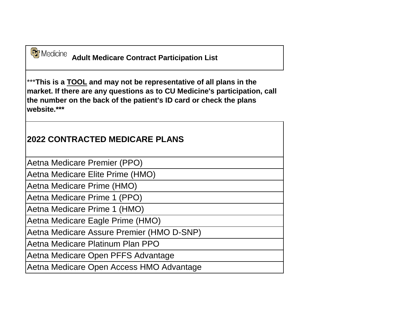**Adult Medicare Contract Participation List** 

\*\*\***This is a TOOL and may not be representative of all plans in the market. If there are any questions as to CU Medicine's participation, call the number on the back of the patient's ID card or check the plans website.\*\*\***

## **2022 CONTRACTED MEDICARE PLANS**

Aetna Medicare Premier (PPO)

Aetna Medicare Elite Prime (HMO)

Aetna Medicare Prime (HMO)

Aetna Medicare Prime 1 (PPO)

Aetna Medicare Prime 1 (HMO)

Aetna Medicare Eagle Prime (HMO)

Aetna Medicare Assure Premier (HMO D-SNP)

Aetna Medicare Platinum Plan PPO

Aetna Medicare Open PFFS Advantage

Aetna Medicare Open Access HMO Advantage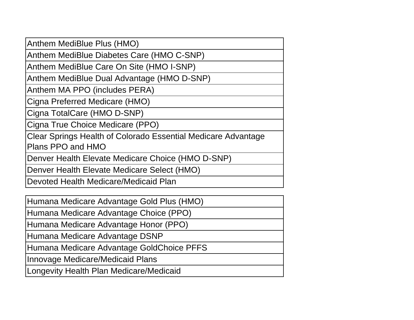Anthem MediBlue Plus (HMO)

Anthem MediBlue Diabetes Care (HMO C-SNP)

Anthem MediBlue Care On Site (HMO I-SNP)

Anthem MediBlue Dual Advantage (HMO D-SNP)

Anthem MA PPO (includes PERA)

Cigna Preferred Medicare (HMO)

Cigna TotalCare (HMO D-SNP)

Cigna True Choice Medicare (PPO)

Clear Springs Health of Colorado Essential Medicare Advantage Plans PPO and HMO

Denver Health Elevate Medicare Choice (HMO D-SNP)

Denver Health Elevate Medicare Select (HMO)

Devoted Health Medicare/Medicaid Plan

Humana Medicare Advantage Gold Plus (HMO)

Humana Medicare Advantage Choice (PPO)

Humana Medicare Advantage Honor (PPO)

Humana Medicare Advantage DSNP

Humana Medicare Advantage GoldChoice PFFS

Innovage Medicare/Medicaid Plans

Longevity Health Plan Medicare/Medicaid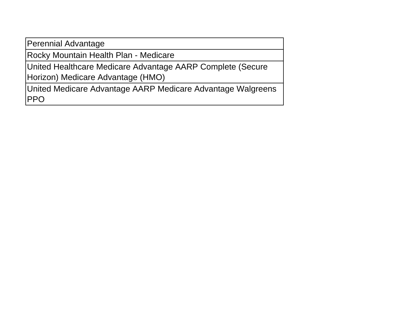Perennial Advantage

Rocky Mountain Health Plan - Medicare

United Healthcare Medicare Advantage AARP Complete (Secure Horizon) Medicare Advantage (HMO)

United Medicare Advantage AARP Medicare Advantage Walgreens PPO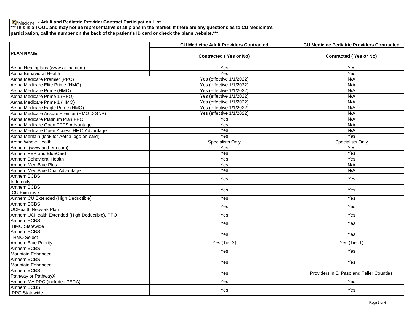**- Adult and Pediatric Provider Contract Participation List**

\*\*\***This is a TOOL and may not be representative of all plans in the market. If there are any questions as to CU Medicine's** 

**participation, call the number on the back of the patient's ID card or check the plans website.\*\*\***

| <b>PLAN NAME</b>                                | <b>CU Medicine Adult Providers Contracted</b> | <b>CU Medicine Pediatric Providers Contracted</b> |
|-------------------------------------------------|-----------------------------------------------|---------------------------------------------------|
|                                                 | <b>Contracted (Yes or No)</b>                 | <b>Contracted (Yes or No)</b>                     |
| Aetna Healthplans (www.aetna.com)               | Yes                                           | Yes                                               |
| Aetna Behavioral Health                         | Yes                                           | Yes                                               |
| Aetna Medicare Premier (PPO)                    | Yes (effective 1/1/2022)                      | N/A                                               |
| Aetna Medicare Elite Prime (HMO)                | Yes (effective 1/1/2022)                      | N/A                                               |
| Aetna Medicare Prime (HMO)                      | Yes (effective 1/1/2022)                      | N/A                                               |
| Aetna Medicare Prime 1 (PPO)                    | Yes (effective 1/1/2022)                      | N/A                                               |
| Aetna Medicare Prime 1 (HMO)                    | Yes (effective 1/1/2022)                      | N/A                                               |
| Aetna Medicare Eagle Prime (HMO)                | Yes (effective 1/1/2022)                      | N/A                                               |
| Aetna Medicare Assure Premier (HMO D-SNP)       | Yes (effective 1/1/2022)                      | N/A                                               |
| Aetna Medicare Platinum Plan PPO                | Yes                                           | N/A                                               |
| Aetna Medicare Open PFFS Advantage              | Yes                                           | N/A                                               |
| Aetna Medicare Open Access HMO Advantage        | Yes                                           | N/A                                               |
| Aetna Meritain (look for Aetna logo on card)    | Yes                                           | Yes                                               |
| Aetna Whole Health                              | Specialists Only                              | Specialists Only                                  |
| Anthem (www.anthem.com)                         | Yes                                           | Yes                                               |
| Anthem FEP and BlueCard                         | Yes                                           | Yes                                               |
| Anthem Behavioral Health                        | Yes                                           | Yes                                               |
| Anthem MediBlue Plus                            | Yes                                           | N/A                                               |
| Anthem MediBlue Dual Advantage                  | Yes                                           | N/A                                               |
| Anthem BCBS<br>Indemnity                        | Yes                                           | Yes                                               |
| <b>Anthem BCBS</b><br><b>CU Exclusive</b>       | Yes                                           | Yes                                               |
| Anthem CU Extended (High Deductible)            | Yes                                           | Yes                                               |
| Anthem BCBS<br><b>UCHealth Network Plan</b>     | <b>Yes</b>                                    | <b>Yes</b>                                        |
| Anthem UCHealth Extended (High Deductible), PPO | Yes                                           | Yes                                               |
| <b>Anthem BCBS</b>                              | Yes                                           | Yes                                               |
| <b>HMO Statewide</b>                            |                                               |                                                   |
| Anthem BCBS<br><b>HMO Select</b>                | Yes                                           | Yes                                               |
| <b>Anthem Blue Priority</b>                     | Yes (Tier 2)                                  | Yes (Tier 1)                                      |
| <b>Anthem BCBS</b>                              |                                               |                                                   |
| Mountain Enhanced                               | Yes                                           | Yes                                               |
| <b>Anthem BCBS</b><br><b>Mountain Enhanced</b>  | Yes                                           | Yes                                               |
| <b>Anthem BCBS</b><br>Pathway or PathwayX       | Yes                                           | Providers in El Paso and Teller Counties          |
| Anthem MA PPO (includes PERA)                   | Yes                                           | Yes                                               |
| <b>Anthem BCBS</b>                              |                                               |                                                   |
| PPO Statewide                                   | Yes                                           | Yes                                               |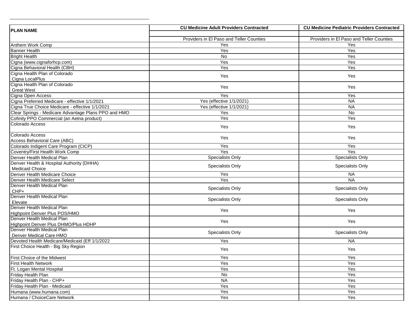| <b>PLAN NAME</b>                                     | <b>CU Medicine Adult Providers Contracted</b> | <b>CU Medicine Pediatric Providers Contracted</b> |
|------------------------------------------------------|-----------------------------------------------|---------------------------------------------------|
|                                                      |                                               |                                                   |
|                                                      | Providers in El Paso and Teller Counties      | Providers in El Paso and Teller Counties          |
| Anthem Work Comp                                     | Yes                                           | Yes                                               |
| <b>Banner Health</b>                                 | Yes                                           | Yes                                               |
| <b>Bright Health</b>                                 | No.                                           | Yes                                               |
| Cigna (www.cignaforhcp.com)                          | Yes                                           | Yes                                               |
| Cigna Behavioral Health (CBH)                        | Yes                                           | Yes                                               |
| Cigna Health Plan of Colorado                        | Yes                                           | Yes                                               |
| Cigna LocalPlus                                      |                                               |                                                   |
| Cigna Health Plan of Colorado                        | Yes                                           | Yes                                               |
| <b>Great West</b>                                    |                                               |                                                   |
| Cigna Open Access                                    | Yes                                           | Yes                                               |
| Cigna Preferred Medicare - effective 1/1/2021        | Yes (effective 1/1/2021)                      | <b>NA</b>                                         |
| Cigna True Choice Medicare - effective 1/1/2021      | Yes (effective 1/1/2021)                      | <b>NA</b>                                         |
| Clear Springs - Medicare Advantage Plans PPO and HMO | Yes                                           | No                                                |
| Cofinity PPO Commercial (an Aetna product)           | Yes                                           | Yes                                               |
| Colorado Access                                      | Yes                                           | Yes                                               |
| Colorado Access                                      | Yes                                           | Yes                                               |
| Access Behavioral Care (ABC)                         |                                               |                                                   |
| Colorado Indigent Care Program (CICP)                | Yes                                           | Yes                                               |
| Coventry/First Health Work Comp                      | Yes                                           | Yes                                               |
| Denver Health Medical Plan                           | <b>Specialists Only</b>                       | Specialists Only                                  |
| Denver Health & Hospital Authority (DHHA)            | Specialists Only                              | Specialists Only                                  |
| <b>Medicaid Choice</b>                               |                                               |                                                   |
| Denver Health Medicare Choice                        | Yes                                           | <b>NA</b>                                         |
| Denver Health Medicare Select                        | Yes                                           | $N_A$                                             |
| Denver Health Medical Plan                           | Specialists Only                              | Specialists Only                                  |
| CHP+                                                 |                                               |                                                   |
| Denver Health Medical Plan                           | Specialists Only                              | Specialists Only                                  |
| Elevate<br>Denver Health Medical Plan                |                                               |                                                   |
| Highpoint Denver Plus POS/HMO                        | Yes                                           | Yes                                               |
| Denver Health Medical Plan                           |                                               |                                                   |
| Highpoint Denver Plus DHMO/Plus HDHP                 | Yes                                           | Yes                                               |
| Denver Health Medical Plan                           |                                               |                                                   |
| Denver Medical Care HMO                              | <b>Specialists Only</b>                       | Specialists Only                                  |
| Devoted Health Medicare/Medicaid (Eff 1/1/2022       | Yes                                           | <b>NA</b>                                         |
| First Choice Health - Big Sky Region                 | Yes                                           | Yes                                               |
|                                                      |                                               |                                                   |
| <b>First Choice of the Midwest</b>                   | Yes                                           | Yes                                               |
| <b>First Health Network</b>                          | Yes                                           | Yes                                               |
| Ft. Logan Mental Hospital                            | Yes                                           | Yes                                               |
| Friday Health Plan                                   | No                                            | Yes                                               |
| Friday Health Plan - CHP+                            | <b>NA</b>                                     | Yes                                               |
| Friday Health Plan - Medicaid                        | Yes                                           | Yes                                               |
| Humana (www.humana.com)                              | Yes                                           | Yes                                               |
| Humana / ChoiceCare Network                          | Yes                                           | Yes                                               |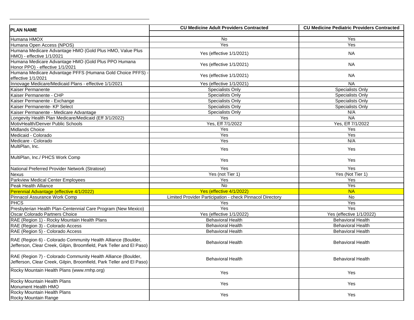| <b>PLAN NAME</b>                                                                                                                      | <b>CU Medicine Adult Providers Contracted</b>             | <b>CU Medicine Pediatric Providers Contracted</b> |
|---------------------------------------------------------------------------------------------------------------------------------------|-----------------------------------------------------------|---------------------------------------------------|
|                                                                                                                                       |                                                           |                                                   |
| Humana HMOX                                                                                                                           | No                                                        | Yes                                               |
| Humana Open Access (NPOS)                                                                                                             | Yes                                                       | Yes                                               |
| Humana Medicare Advantage HMO (Gold Plus HMO, Value Plus<br>HMO) - effective 1/1/2021                                                 | Yes (effective 1/1/2021)                                  | <b>NA</b>                                         |
| Humana Medicare Advantage HMO (Gold Plus PPO Humana<br>Honor PPO) - effective 1/1/2021                                                | Yes (effective 1/1/2021)                                  | <b>NA</b>                                         |
| Humana Medicare Advantage PFFS (Humana Gold Choice PFFS)<br>effective 1/1/2021                                                        | Yes (effective 1/1/2021)                                  | NA.                                               |
| Innovage Medicare/Medicaid Plans - effective 1/1/2021                                                                                 | Yes (effective 1/1/2021)                                  | <b>NA</b>                                         |
| Kaiser Permanente                                                                                                                     | Specialists Only                                          | Specialists Only                                  |
| Kaiser Permanente - CHP                                                                                                               | Specialists Only                                          | Specialists Only                                  |
| Kaiser Permanente - Exchange                                                                                                          | <b>Specialists Only</b>                                   | Specialists Only                                  |
| Kaiser Permanente- KP Select                                                                                                          | <b>Specialists Only</b>                                   | Specialists Only                                  |
| Kaiser Permanente - Medicare Advantage                                                                                                | Specialists Only                                          | N/A                                               |
| Longevity Health Plan Medicare/Medicaid (Eff 3/1/2022)                                                                                | Yes                                                       | <b>NA</b>                                         |
| MotivHealth/Denver Public Schools                                                                                                     | Yes, Eff 7/1/2022                                         | Yes, Eff 7/1/2022                                 |
| <b>Midlands Choice</b>                                                                                                                | Yes                                                       | Yes                                               |
| Medicaid - Colorado                                                                                                                   | Yes                                                       | Yes                                               |
| Medicare - Colorado                                                                                                                   | Yes                                                       | N/A                                               |
| MultiPlan, Inc.                                                                                                                       | Yes                                                       | Yes                                               |
| MultiPlan, Inc./ PHCS Work Comp                                                                                                       | Yes                                                       | Yes                                               |
| National Preferred Provider Network (Stratose)                                                                                        | Yes                                                       | Yes                                               |
| Nexus                                                                                                                                 | Yes (not Tier 1)                                          | Yes (Not Tier 1)                                  |
| <b>Parkview Medical Center Employees</b>                                                                                              | Yes                                                       | Yes                                               |
| Peak Health Alliance                                                                                                                  | No                                                        | Yes                                               |
| Perennial Advantage (effective 4/1/2022)                                                                                              | Yes (effective 4/1/2022)                                  | <b>NA</b>                                         |
| Pinnacol Assurance Work Comp                                                                                                          | Limited Provider Participation - check Pinnacol Directory | No                                                |
| <b>PHCS</b>                                                                                                                           | Yes                                                       | Yes                                               |
| Presbyterian Health Plan-Centennial Care Program (New Mexico)                                                                         | Yes                                                       | Yes                                               |
| Oscar Colorado Partners Choice                                                                                                        | Yes (effective 1/1/2022)                                  | Yes (effective 1/1/2022)                          |
| RAE (Region 1) - Rocky Mountain Health Plans                                                                                          | <b>Behavioral Health</b>                                  | <b>Behavioral Health</b>                          |
| RAE (Region 3) - Colorado Access                                                                                                      | <b>Behavioral Health</b>                                  | <b>Behavioral Health</b>                          |
| RAE (Region 5) - Colorado Access                                                                                                      | <b>Behavioral Health</b>                                  | <b>Behavioral Health</b>                          |
| RAE (Region 6) - Colorado Community Health Alliance (Boulder,<br>Jefferson, Clear Creek, Gilpin, Broomfield, Park Teller and El Paso) | <b>Behavioral Health</b>                                  | <b>Behavioral Health</b>                          |
| RAE (Region 7) - Colorado Community Health Alliance (Boulder,<br>Jefferson, Clear Creek, Gilpin, Broomfield, Park Teller and El Paso) | <b>Behavioral Health</b>                                  | <b>Behavioral Health</b>                          |
| Rocky Mountain Health Plans (www.rmhp.org)                                                                                            | Yes                                                       | Yes                                               |
| Rocky Mountain Health Plans<br>Monument Health HMO                                                                                    | Yes                                                       | Yes                                               |
| Rocky Mountain Health Plans<br>Rocky Mountain Range                                                                                   | Yes                                                       | Yes                                               |